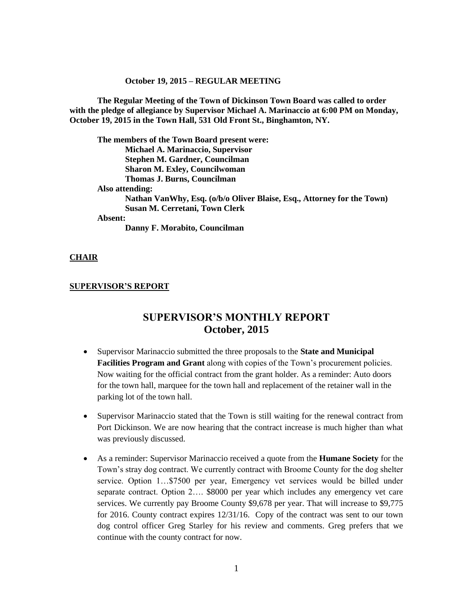#### **October 19, 2015 – REGULAR MEETING**

**The Regular Meeting of the Town of Dickinson Town Board was called to order with the pledge of allegiance by Supervisor Michael A. Marinaccio at 6:00 PM on Monday, October 19, 2015 in the Town Hall, 531 Old Front St., Binghamton, NY.** 

**The members of the Town Board present were: Michael A. Marinaccio, Supervisor Stephen M. Gardner, Councilman Sharon M. Exley, Councilwoman Thomas J. Burns, Councilman Also attending: Nathan VanWhy, Esq. (o/b/o Oliver Blaise, Esq., Attorney for the Town) Susan M. Cerretani, Town Clerk Absent: Danny F. Morabito, Councilman**

#### **CHAIR**

#### **SUPERVISOR'S REPORT**

# **SUPERVISOR'S MONTHLY REPORT October, 2015**

- Supervisor Marinaccio submitted the three proposals to the **State and Municipal Facilities Program and Grant** along with copies of the Town's procurement policies. Now waiting for the official contract from the grant holder. As a reminder: Auto doors for the town hall, marquee for the town hall and replacement of the retainer wall in the parking lot of the town hall.
- Supervisor Marinaccio stated that the Town is still waiting for the renewal contract from Port Dickinson. We are now hearing that the contract increase is much higher than what was previously discussed.
- As a reminder: Supervisor Marinaccio received a quote from the **Humane Society** for the Town's stray dog contract. We currently contract with Broome County for the dog shelter service. Option 1…\$7500 per year, Emergency vet services would be billed under separate contract. Option 2…. \$8000 per year which includes any emergency vet care services. We currently pay Broome County \$9,678 per year. That will increase to \$9,775 for 2016. County contract expires 12/31/16. Copy of the contract was sent to our town dog control officer Greg Starley for his review and comments. Greg prefers that we continue with the county contract for now.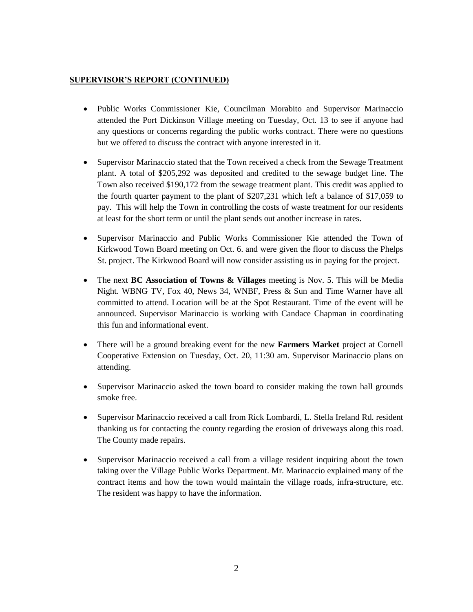## **SUPERVISOR'S REPORT (CONTINUED)**

- Public Works Commissioner Kie, Councilman Morabito and Supervisor Marinaccio attended the Port Dickinson Village meeting on Tuesday, Oct. 13 to see if anyone had any questions or concerns regarding the public works contract. There were no questions but we offered to discuss the contract with anyone interested in it.
- Supervisor Marinaccio stated that the Town received a check from the Sewage Treatment plant. A total of \$205,292 was deposited and credited to the sewage budget line. The Town also received \$190,172 from the sewage treatment plant. This credit was applied to the fourth quarter payment to the plant of \$207,231 which left a balance of \$17,059 to pay. This will help the Town in controlling the costs of waste treatment for our residents at least for the short term or until the plant sends out another increase in rates.
- Supervisor Marinaccio and Public Works Commissioner Kie attended the Town of Kirkwood Town Board meeting on Oct. 6. and were given the floor to discuss the Phelps St. project. The Kirkwood Board will now consider assisting us in paying for the project.
- The next **BC Association of Towns & Villages** meeting is Nov. 5. This will be Media Night. WBNG TV, Fox 40, News 34, WNBF, Press & Sun and Time Warner have all committed to attend. Location will be at the Spot Restaurant. Time of the event will be announced. Supervisor Marinaccio is working with Candace Chapman in coordinating this fun and informational event.
- There will be a ground breaking event for the new **Farmers Market** project at Cornell Cooperative Extension on Tuesday, Oct. 20, 11:30 am. Supervisor Marinaccio plans on attending.
- Supervisor Marinaccio asked the town board to consider making the town hall grounds smoke free.
- Supervisor Marinaccio received a call from Rick Lombardi, L. Stella Ireland Rd. resident thanking us for contacting the county regarding the erosion of driveways along this road. The County made repairs.
- Supervisor Marinaccio received a call from a village resident inquiring about the town taking over the Village Public Works Department. Mr. Marinaccio explained many of the contract items and how the town would maintain the village roads, infra-structure, etc. The resident was happy to have the information.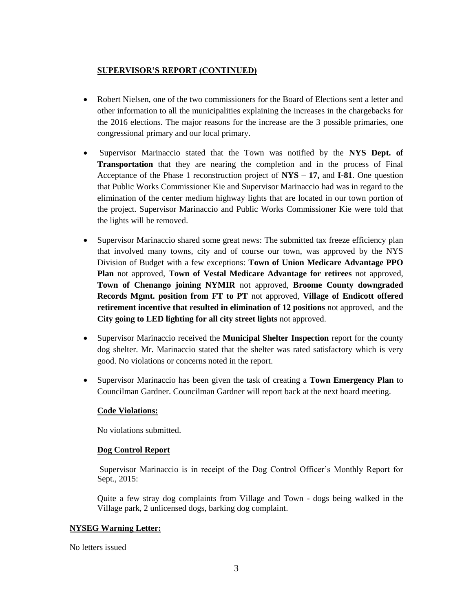### **SUPERVISOR'S REPORT (CONTINUED)**

- Robert Nielsen, one of the two commissioners for the Board of Elections sent a letter and other information to all the municipalities explaining the increases in the chargebacks for the 2016 elections. The major reasons for the increase are the 3 possible primaries, one congressional primary and our local primary.
- Supervisor Marinaccio stated that the Town was notified by the **NYS Dept. of Transportation** that they are nearing the completion and in the process of Final Acceptance of the Phase 1 reconstruction project of **NYS – 17,** and **I-81**. One question that Public Works Commissioner Kie and Supervisor Marinaccio had was in regard to the elimination of the center medium highway lights that are located in our town portion of the project. Supervisor Marinaccio and Public Works Commissioner Kie were told that the lights will be removed.
- Supervisor Marinaccio shared some great news: The submitted tax freeze efficiency plan that involved many towns, city and of course our town, was approved by the NYS Division of Budget with a few exceptions: **Town of Union Medicare Advantage PPO Plan** not approved, **Town of Vestal Medicare Advantage for retirees** not approved, **Town of Chenango joining NYMIR** not approved, **Broome County downgraded Records Mgmt. position from FT to PT** not approved, **Village of Endicott offered retirement incentive that resulted in elimination of 12 positions** not approved, and the **City going to LED lighting for all city street lights** not approved.
- Supervisor Marinaccio received the **Municipal Shelter Inspection** report for the county dog shelter. Mr. Marinaccio stated that the shelter was rated satisfactory which is very good. No violations or concerns noted in the report.
- Supervisor Marinaccio has been given the task of creating a **Town Emergency Plan** to Councilman Gardner. Councilman Gardner will report back at the next board meeting.

### **Code Violations:**

No violations submitted.

#### **Dog Control Report**

Supervisor Marinaccio is in receipt of the Dog Control Officer's Monthly Report for Sept., 2015:

Quite a few stray dog complaints from Village and Town - dogs being walked in the Village park, 2 unlicensed dogs, barking dog complaint.

#### **NYSEG Warning Letter:**

No letters issued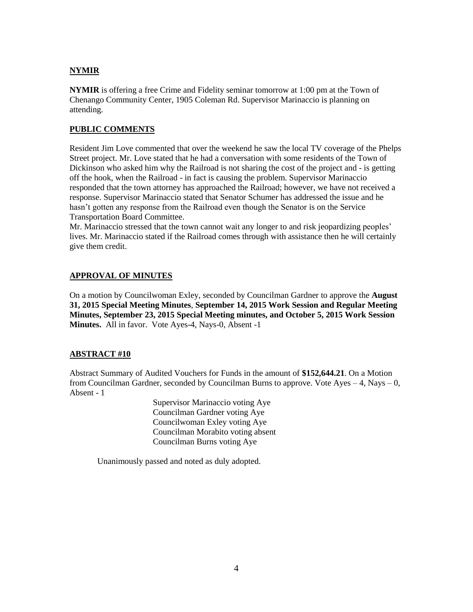## **NYMIR**

**NYMIR** is offering a free Crime and Fidelity seminar tomorrow at 1:00 pm at the Town of Chenango Community Center, 1905 Coleman Rd. Supervisor Marinaccio is planning on attending.

### **PUBLIC COMMENTS**

Resident Jim Love commented that over the weekend he saw the local TV coverage of the Phelps Street project. Mr. Love stated that he had a conversation with some residents of the Town of Dickinson who asked him why the Railroad is not sharing the cost of the project and - is getting off the hook, when the Railroad - in fact is causing the problem. Supervisor Marinaccio responded that the town attorney has approached the Railroad; however, we have not received a response. Supervisor Marinaccio stated that Senator Schumer has addressed the issue and he hasn't gotten any response from the Railroad even though the Senator is on the Service Transportation Board Committee.

Mr. Marinaccio stressed that the town cannot wait any longer to and risk jeopardizing peoples' lives. Mr. Marinaccio stated if the Railroad comes through with assistance then he will certainly give them credit.

## **APPROVAL OF MINUTES**

On a motion by Councilwoman Exley, seconded by Councilman Gardner to approve the **August 31, 2015 Special Meeting Minutes**, **September 14, 2015 Work Session and Regular Meeting Minutes, September 23, 2015 Special Meeting minutes, and October 5, 2015 Work Session Minutes.** All in favor. Vote Ayes-4, Nays-0, Absent -1

### **ABSTRACT #10**

Abstract Summary of Audited Vouchers for Funds in the amount of **\$152,644.21**. On a Motion from Councilman Gardner, seconded by Councilman Burns to approve. Vote Ayes  $-4$ , Nays  $-0$ , Absent - 1

> Supervisor Marinaccio voting Aye Councilman Gardner voting Aye Councilwoman Exley voting Aye Councilman Morabito voting absent Councilman Burns voting Aye

Unanimously passed and noted as duly adopted.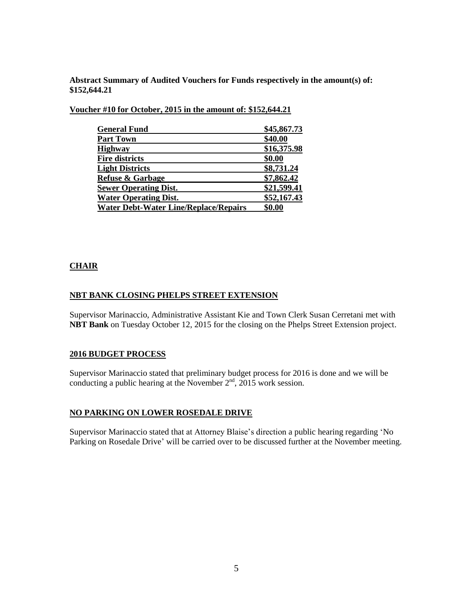**Abstract Summary of Audited Vouchers for Funds respectively in the amount(s) of: \$152,644.21**

**Voucher #10 for October, 2015 in the amount of: \$152,644.21**

| <b>General Fund</b>                          | \$45,867.73 |
|----------------------------------------------|-------------|
| <b>Part Town</b>                             | \$40.00     |
| <b>Highway</b>                               | \$16,375.98 |
| <b>Fire districts</b>                        | \$0.00      |
| <b>Light Districts</b>                       | \$8,731.24  |
| <b>Refuse &amp; Garbage</b>                  | \$7,862.42  |
| <b>Sewer Operating Dist.</b>                 | \$21,599.41 |
| <b>Water Operating Dist.</b>                 | \$52,167.43 |
| <b>Water Debt-Water Line/Replace/Repairs</b> | \$0.00      |

### **CHAIR**

#### **NBT BANK CLOSING PHELPS STREET EXTENSION**

Supervisor Marinaccio, Administrative Assistant Kie and Town Clerk Susan Cerretani met with **NBT Bank** on Tuesday October 12, 2015 for the closing on the Phelps Street Extension project.

#### **2016 BUDGET PROCESS**

Supervisor Marinaccio stated that preliminary budget process for 2016 is done and we will be conducting a public hearing at the November  $2<sup>nd</sup>$ ,  $2015$  work session.

#### **NO PARKING ON LOWER ROSEDALE DRIVE**

Supervisor Marinaccio stated that at Attorney Blaise's direction a public hearing regarding 'No Parking on Rosedale Drive' will be carried over to be discussed further at the November meeting.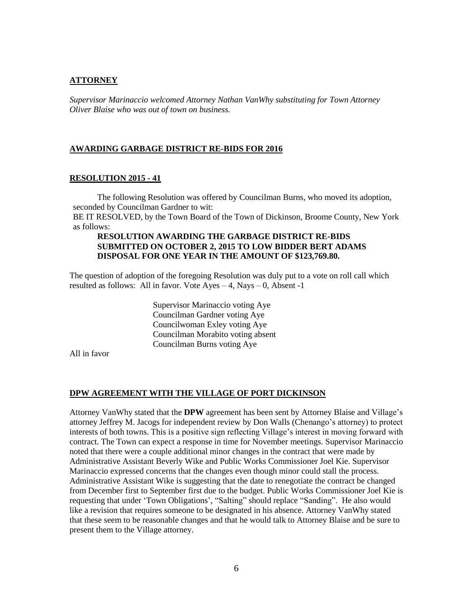#### **ATTORNEY**

*Supervisor Marinaccio welcomed Attorney Nathan VanWhy substituting for Town Attorney Oliver Blaise who was out of town on business.*

#### **AWARDING GARBAGE DISTRICT RE-BIDS FOR 2016**

### **RESOLUTION 2015 - 41**

The following Resolution was offered by Councilman Burns, who moved its adoption, seconded by Councilman Gardner to wit:

BE IT RESOLVED, by the Town Board of the Town of Dickinson, Broome County, New York as follows:

#### **RESOLUTION AWARDING THE GARBAGE DISTRICT RE-BIDS SUBMITTED ON OCTOBER 2, 2015 TO LOW BIDDER BERT ADAMS DISPOSAL FOR ONE YEAR IN THE AMOUNT OF \$123,769.80.**

The question of adoption of the foregoing Resolution was duly put to a vote on roll call which resulted as follows: All in favor. Vote  $Ayes - 4$ , Nays  $- 0$ , Absent -1

> Supervisor Marinaccio voting Aye Councilman Gardner voting Aye Councilwoman Exley voting Aye Councilman Morabito voting absent Councilman Burns voting Aye

All in favor

#### **DPW AGREEMENT WITH THE VILLAGE OF PORT DICKINSON**

Attorney VanWhy stated that the **DPW** agreement has been sent by Attorney Blaise and Village's attorney Jeffrey M. Jacogs for independent review by Don Walls (Chenango's attorney) to protect interests of both towns. This is a positive sign reflecting Village's interest in moving forward with contract. The Town can expect a response in time for November meetings. Supervisor Marinaccio noted that there were a couple additional minor changes in the contract that were made by Administrative Assistant Beverly Wike and Public Works Commissioner Joel Kie. Supervisor Marinaccio expressed concerns that the changes even though minor could stall the process. Administrative Assistant Wike is suggesting that the date to renegotiate the contract be changed from December first to September first due to the budget. Public Works Commissioner Joel Kie is requesting that under 'Town Obligations', "Salting" should replace "Sanding". He also would like a revision that requires someone to be designated in his absence. Attorney VanWhy stated that these seem to be reasonable changes and that he would talk to Attorney Blaise and be sure to present them to the Village attorney.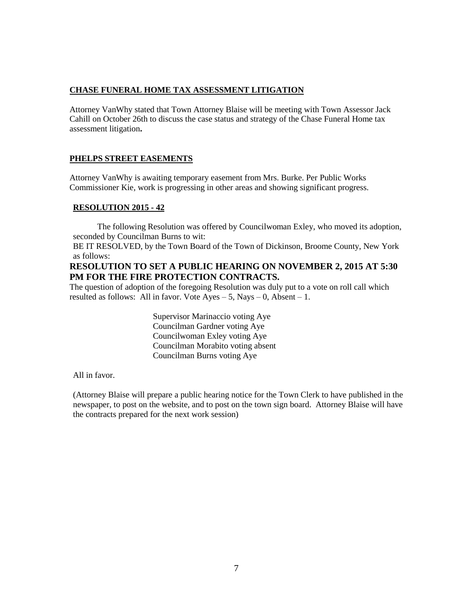### **CHASE FUNERAL HOME TAX ASSESSMENT LITIGATION**

Attorney VanWhy stated that Town Attorney Blaise will be meeting with Town Assessor Jack Cahill on October 26th to discuss the case status and strategy of the Chase Funeral Home tax assessment litigation**.**

### **PHELPS STREET EASEMENTS**

Attorney VanWhy is awaiting temporary easement from Mrs. Burke. Per Public Works Commissioner Kie, work is progressing in other areas and showing significant progress.

### **RESOLUTION 2015 - 42**

The following Resolution was offered by Councilwoman Exley, who moved its adoption, seconded by Councilman Burns to wit:

BE IT RESOLVED, by the Town Board of the Town of Dickinson, Broome County, New York as follows:

### **RESOLUTION TO SET A PUBLIC HEARING ON NOVEMBER 2, 2015 AT 5:30 PM FOR THE FIRE PROTECTION CONTRACTS.**

The question of adoption of the foregoing Resolution was duly put to a vote on roll call which resulted as follows: All in favor. Vote  $Ayes - 5$ , Nays  $- 0$ , Absent  $- 1$ .

> Supervisor Marinaccio voting Aye Councilman Gardner voting Aye Councilwoman Exley voting Aye Councilman Morabito voting absent Councilman Burns voting Aye

All in favor.

(Attorney Blaise will prepare a public hearing notice for the Town Clerk to have published in the newspaper, to post on the website, and to post on the town sign board. Attorney Blaise will have the contracts prepared for the next work session)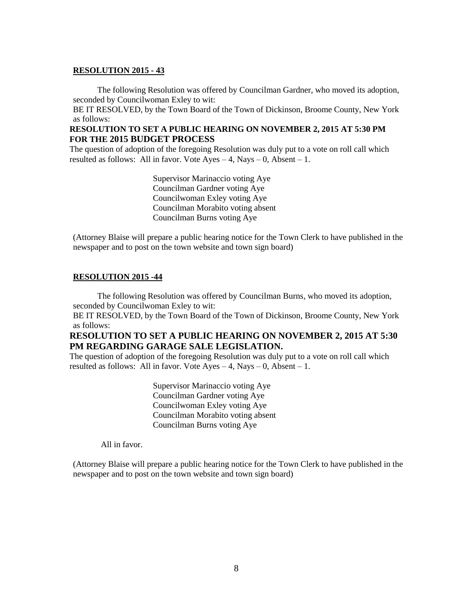#### **RESOLUTION 2015 - 43**

The following Resolution was offered by Councilman Gardner, who moved its adoption, seconded by Councilwoman Exley to wit:

BE IT RESOLVED, by the Town Board of the Town of Dickinson, Broome County, New York as follows:

### **RESOLUTION TO SET A PUBLIC HEARING ON NOVEMBER 2, 2015 AT 5:30 PM FOR THE 2015 BUDGET PROCESS**

The question of adoption of the foregoing Resolution was duly put to a vote on roll call which resulted as follows: All in favor. Vote Ayes  $-4$ , Nays  $-0$ , Absent  $-1$ .

> Supervisor Marinaccio voting Aye Councilman Gardner voting Aye Councilwoman Exley voting Aye Councilman Morabito voting absent Councilman Burns voting Aye

(Attorney Blaise will prepare a public hearing notice for the Town Clerk to have published in the newspaper and to post on the town website and town sign board)

### **RESOLUTION 2015 -44**

The following Resolution was offered by Councilman Burns, who moved its adoption, seconded by Councilwoman Exley to wit:

BE IT RESOLVED, by the Town Board of the Town of Dickinson, Broome County, New York as follows:

### **RESOLUTION TO SET A PUBLIC HEARING ON NOVEMBER 2, 2015 AT 5:30 PM REGARDING GARAGE SALE LEGISLATION.**

The question of adoption of the foregoing Resolution was duly put to a vote on roll call which resulted as follows: All in favor. Vote Ayes  $-4$ , Nays  $-0$ , Absent  $-1$ .

> Supervisor Marinaccio voting Aye Councilman Gardner voting Aye Councilwoman Exley voting Aye Councilman Morabito voting absent Councilman Burns voting Aye

All in favor.

(Attorney Blaise will prepare a public hearing notice for the Town Clerk to have published in the newspaper and to post on the town website and town sign board)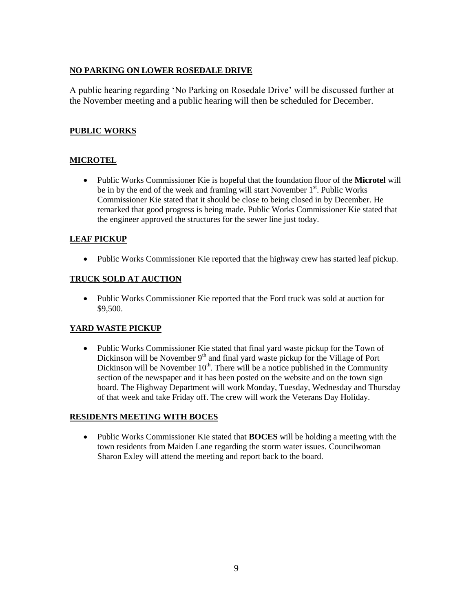## **NO PARKING ON LOWER ROSEDALE DRIVE**

A public hearing regarding 'No Parking on Rosedale Drive' will be discussed further at the November meeting and a public hearing will then be scheduled for December.

## **PUBLIC WORKS**

## **MICROTEL**

 Public Works Commissioner Kie is hopeful that the foundation floor of the **Microtel** will be in by the end of the week and framing will start November 1<sup>st</sup>. Public Works Commissioner Kie stated that it should be close to being closed in by December. He remarked that good progress is being made. Public Works Commissioner Kie stated that the engineer approved the structures for the sewer line just today.

## **LEAF PICKUP**

• Public Works Commissioner Kie reported that the highway crew has started leaf pickup.

## **TRUCK SOLD AT AUCTION**

 Public Works Commissioner Kie reported that the Ford truck was sold at auction for \$9,500.

# **YARD WASTE PICKUP**

• Public Works Commissioner Kie stated that final yard waste pickup for the Town of Dickinson will be November  $9<sup>th</sup>$  and final yard waste pickup for the Village of Port Dickinson will be November  $10<sup>th</sup>$ . There will be a notice published in the Community section of the newspaper and it has been posted on the website and on the town sign board. The Highway Department will work Monday, Tuesday, Wednesday and Thursday of that week and take Friday off. The crew will work the Veterans Day Holiday.

## **RESIDENTS MEETING WITH BOCES**

 Public Works Commissioner Kie stated that **BOCES** will be holding a meeting with the town residents from Maiden Lane regarding the storm water issues. Councilwoman Sharon Exley will attend the meeting and report back to the board.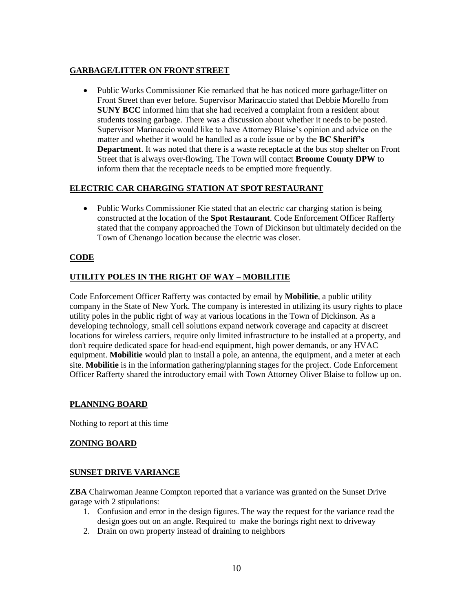## **GARBAGE/LITTER ON FRONT STREET**

• Public Works Commissioner Kie remarked that he has noticed more garbage/litter on Front Street than ever before. Supervisor Marinaccio stated that Debbie Morello from **SUNY BCC** informed him that she had received a complaint from a resident about students tossing garbage. There was a discussion about whether it needs to be posted. Supervisor Marinaccio would like to have Attorney Blaise's opinion and advice on the matter and whether it would be handled as a code issue or by the **BC Sheriff's Department**. It was noted that there is a waste receptacle at the bus stop shelter on Front Street that is always over-flowing. The Town will contact **Broome County DPW** to inform them that the receptacle needs to be emptied more frequently.

## **ELECTRIC CAR CHARGING STATION AT SPOT RESTAURANT**

• Public Works Commissioner Kie stated that an electric car charging station is being constructed at the location of the **Spot Restaurant**. Code Enforcement Officer Rafferty stated that the company approached the Town of Dickinson but ultimately decided on the Town of Chenango location because the electric was closer.

## **CODE**

## **UTILITY POLES IN THE RIGHT OF WAY – MOBILITIE**

Code Enforcement Officer Rafferty was contacted by email by **Mobilitie**, a public utility company in the State of New York. The company is interested in utilizing its usury rights to place utility poles in the public right of way at various locations in the Town of Dickinson. As a developing technology, small cell solutions expand network coverage and capacity at discreet locations for wireless carriers, require only limited infrastructure to be installed at a property, and don't require dedicated space for head-end equipment, high power demands, or any HVAC equipment. **Mobilitie** would plan to install a pole, an antenna, the equipment, and a meter at each site. **Mobilitie** is in the information gathering/planning stages for the project. Code Enforcement Officer Rafferty shared the introductory email with Town Attorney Oliver Blaise to follow up on.

## **PLANNING BOARD**

Nothing to report at this time

### **ZONING BOARD**

### **SUNSET DRIVE VARIANCE**

**ZBA** Chairwoman Jeanne Compton reported that a variance was granted on the Sunset Drive garage with 2 stipulations:

- 1. Confusion and error in the design figures. The way the request for the variance read the design goes out on an angle. Required to make the borings right next to driveway
- 2. Drain on own property instead of draining to neighbors